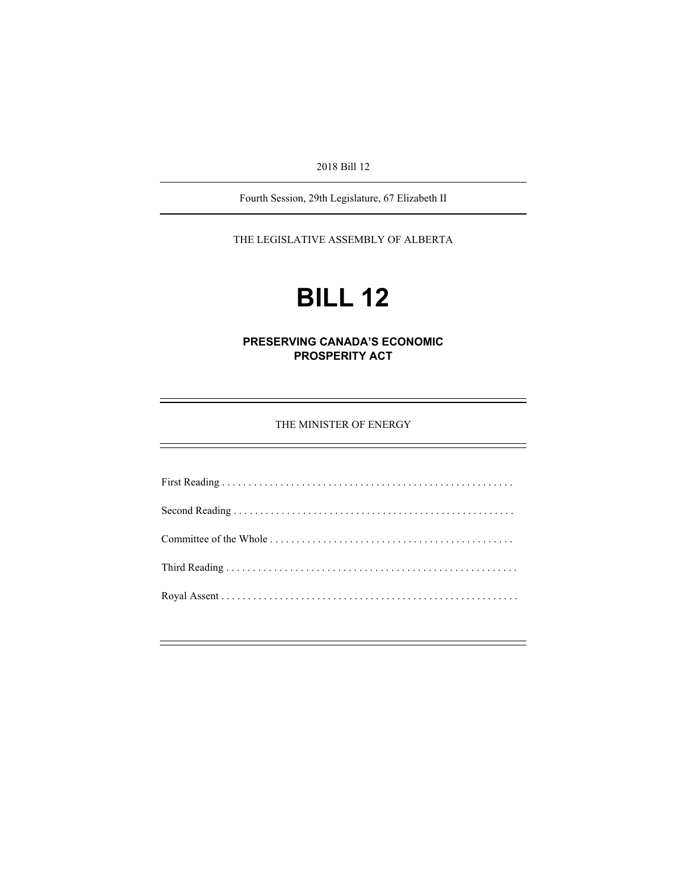2018 Bill 12

Fourth Session, 29th Legislature, 67 Elizabeth II

THE LEGISLATIVE ASSEMBLY OF ALBERTA

# **BILL 12**

**PRESERVING CANADA'S ECONOMIC PROSPERITY ACT** 

THE MINISTER OF ENERGY

First Reading . . . . . . . . . . . . . . . . . . . . . . . . . . . . . . . . . . . . . . . . . . . . . . . . . . . . . . . Second Reading . . . . . . . . . . . . . . . . . . . . . . . . . . . . . . . . . . . . . . . . . . . . . . . . . . . . . Committee of the Whole . . . . . . . . . . . . . . . . . . . . . . . . . . . . . . . . . . . . . . . . . . . . . . Third Reading . . . . . . . . . . . . . . . . . . . . . . . . . . . . . . . . . . . . . . . . . . . . . . . . . . . . . . . Royal Assent . . . . . . . . . . . . . . . . . . . . . . . . . . . . . . . . . . . . . . . . . . . . . . . . . . . . . . . .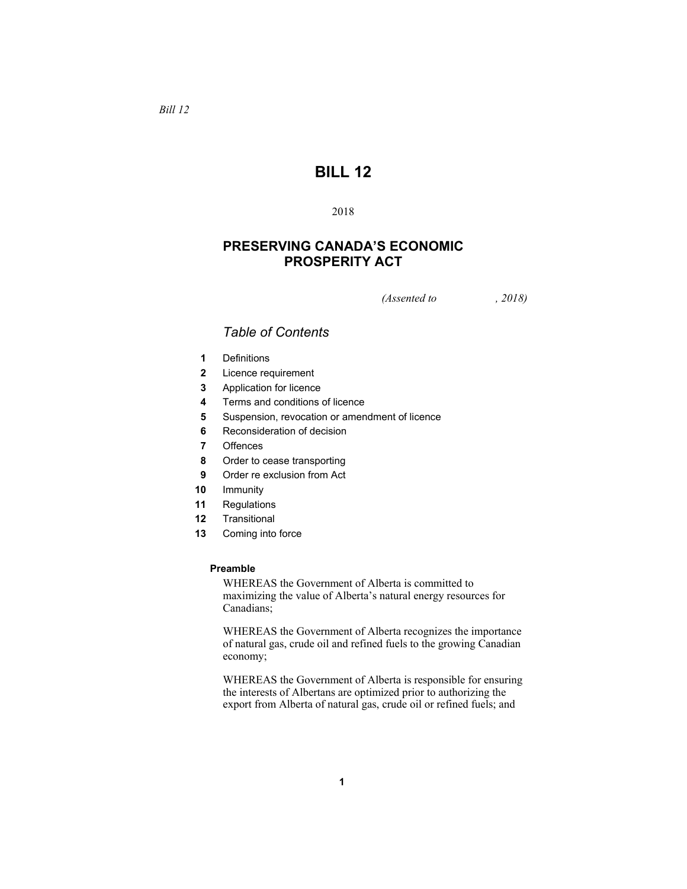# **BILL 12**

# 2018

# **PRESERVING CANADA'S ECONOMIC PROSPERITY ACT**

*(Assented to , 2018)* 

# *Table of Contents*

- **1** Definitions
- **2** Licence requirement
- **3** Application for licence
- **4** Terms and conditions of licence
- **5** Suspension, revocation or amendment of licence
- **6** Reconsideration of decision
- **7** Offences
- **8** Order to cease transporting
- **9** Order re exclusion from Act
- **10** Immunity
- **11** Regulations
- **12** Transitional
- **13** Coming into force

#### **Preamble**

WHEREAS the Government of Alberta is committed to maximizing the value of Alberta's natural energy resources for Canadians;

WHEREAS the Government of Alberta recognizes the importance of natural gas, crude oil and refined fuels to the growing Canadian economy;

WHEREAS the Government of Alberta is responsible for ensuring the interests of Albertans are optimized prior to authorizing the export from Alberta of natural gas, crude oil or refined fuels; and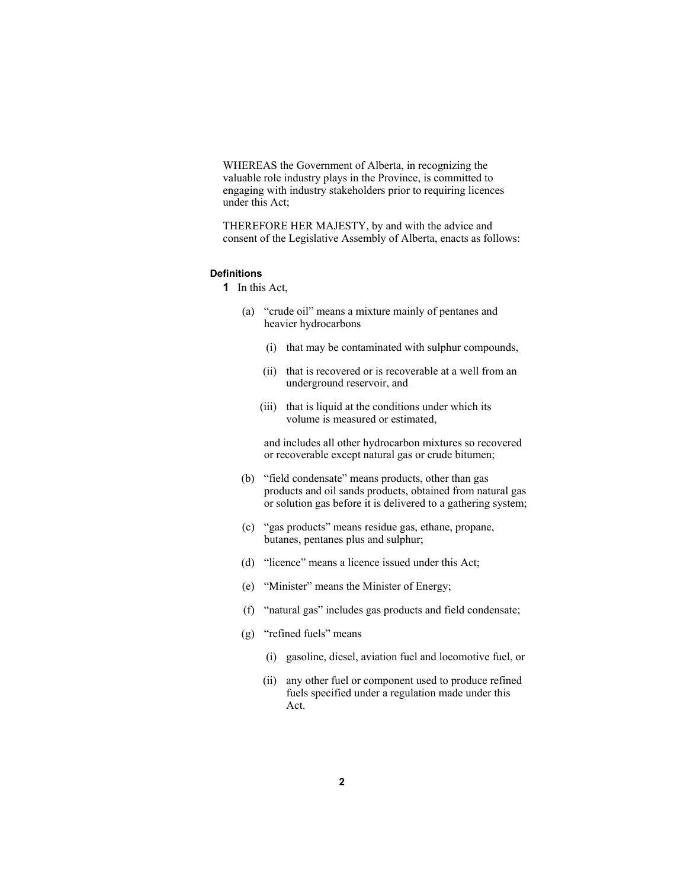WHEREAS the Government of Alberta, in recognizing the valuable role industry plays in the Province, is committed to engaging with industry stakeholders prior to requiring licences under this Act;

THEREFORE HER MAJESTY, by and with the advice and consent of the Legislative Assembly of Alberta, enacts as follows:

#### **Definitions**

**1** In this Act,

- (a) "crude oil" means a mixture mainly of pentanes and heavier hydrocarbons
	- (i) that may be contaminated with sulphur compounds,
	- (ii) that is recovered or is recoverable at a well from an underground reservoir, and
	- (iii) that is liquid at the conditions under which its volume is measured or estimated,

 and includes all other hydrocarbon mixtures so recovered or recoverable except natural gas or crude bitumen;

- (b) "field condensate" means products, other than gas products and oil sands products, obtained from natural gas or solution gas before it is delivered to a gathering system;
- (c) "gas products" means residue gas, ethane, propane, butanes, pentanes plus and sulphur;
- (d) "licence" means a licence issued under this Act;
- (e) "Minister" means the Minister of Energy;
- (f) "natural gas" includes gas products and field condensate;
- (g) "refined fuels" means
	- (i) gasoline, diesel, aviation fuel and locomotive fuel, or
	- (ii) any other fuel or component used to produce refined fuels specified under a regulation made under this Act.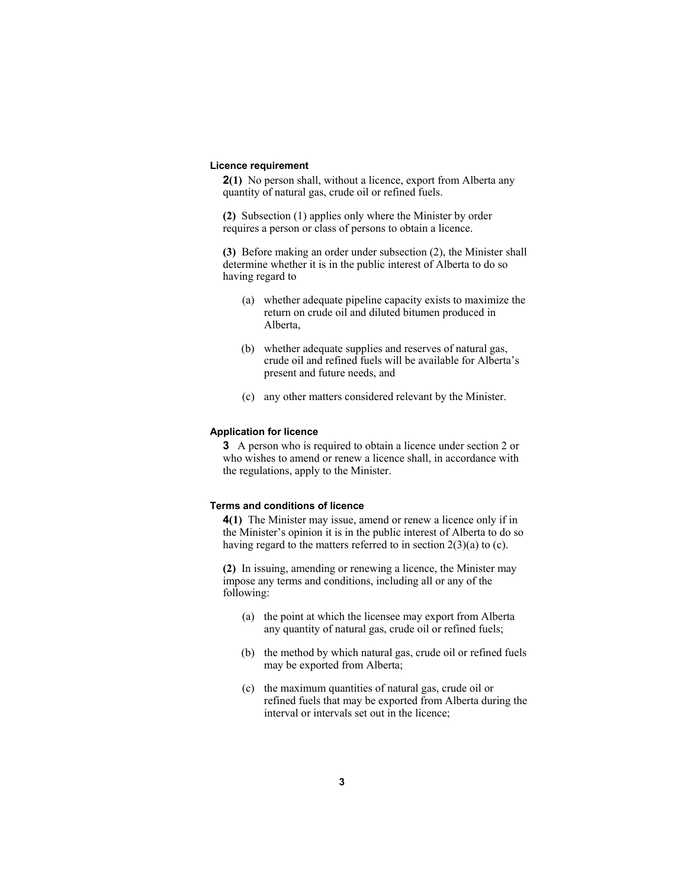#### **Licence requirement**

**2(1)** No person shall, without a licence, export from Alberta any quantity of natural gas, crude oil or refined fuels.

**(2)** Subsection (1) applies only where the Minister by order requires a person or class of persons to obtain a licence.

**(3)** Before making an order under subsection (2), the Minister shall determine whether it is in the public interest of Alberta to do so having regard to

- (a) whether adequate pipeline capacity exists to maximize the return on crude oil and diluted bitumen produced in Alberta,
- (b) whether adequate supplies and reserves of natural gas, crude oil and refined fuels will be available for Alberta's present and future needs, and
- (c) any other matters considered relevant by the Minister.

#### **Application for licence**

**3** A person who is required to obtain a licence under section 2 or who wishes to amend or renew a licence shall, in accordance with the regulations, apply to the Minister.

#### **Terms and conditions of licence**

**4(1)** The Minister may issue, amend or renew a licence only if in the Minister's opinion it is in the public interest of Alberta to do so having regard to the matters referred to in section  $2(3)(a)$  to (c).

**(2)** In issuing, amending or renewing a licence, the Minister may impose any terms and conditions, including all or any of the following:

- (a) the point at which the licensee may export from Alberta any quantity of natural gas, crude oil or refined fuels;
- (b) the method by which natural gas, crude oil or refined fuels may be exported from Alberta;
- (c) the maximum quantities of natural gas, crude oil or refined fuels that may be exported from Alberta during the interval or intervals set out in the licence;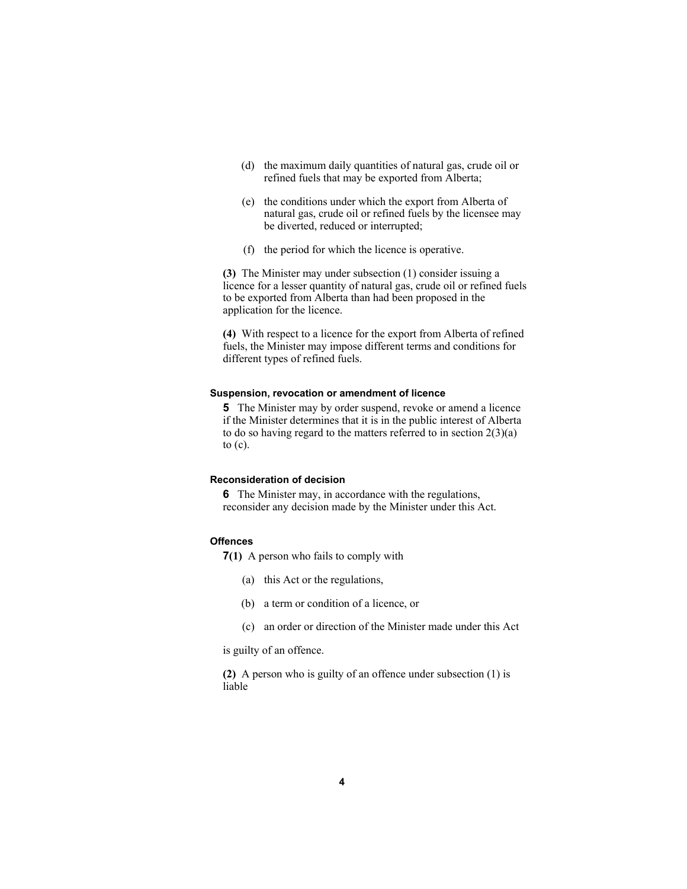- (d) the maximum daily quantities of natural gas, crude oil or refined fuels that may be exported from Alberta;
- (e) the conditions under which the export from Alberta of natural gas, crude oil or refined fuels by the licensee may be diverted, reduced or interrupted;
- (f) the period for which the licence is operative.

**(3)** The Minister may under subsection (1) consider issuing a licence for a lesser quantity of natural gas, crude oil or refined fuels to be exported from Alberta than had been proposed in the application for the licence.

**(4)** With respect to a licence for the export from Alberta of refined fuels, the Minister may impose different terms and conditions for different types of refined fuels.

#### **Suspension, revocation or amendment of licence**

**5** The Minister may by order suspend, revoke or amend a licence if the Minister determines that it is in the public interest of Alberta to do so having regard to the matters referred to in section  $2(3)(a)$ to (c).

#### **Reconsideration of decision**

**6** The Minister may, in accordance with the regulations, reconsider any decision made by the Minister under this Act.

#### **Offences**

**7(1)** A person who fails to comply with

- (a) this Act or the regulations,
- (b) a term or condition of a licence, or
- (c) an order or direction of the Minister made under this Act

is guilty of an offence.

**(2)** A person who is guilty of an offence under subsection (1) is liable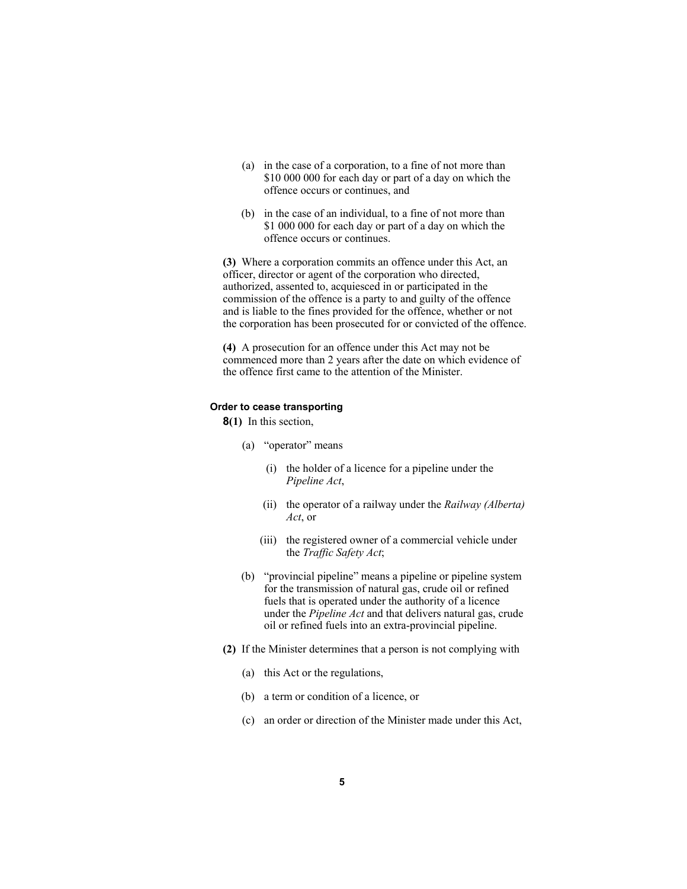- (a) in the case of a corporation, to a fine of not more than \$10 000 000 for each day or part of a day on which the offence occurs or continues, and
- (b) in the case of an individual, to a fine of not more than \$1 000 000 for each day or part of a day on which the offence occurs or continues.

**(3)** Where a corporation commits an offence under this Act, an officer, director or agent of the corporation who directed, authorized, assented to, acquiesced in or participated in the commission of the offence is a party to and guilty of the offence and is liable to the fines provided for the offence, whether or not the corporation has been prosecuted for or convicted of the offence.

**(4)** A prosecution for an offence under this Act may not be commenced more than 2 years after the date on which evidence of the offence first came to the attention of the Minister.

# **Order to cease transporting**

**8(1)** In this section,

- (a) "operator" means
	- (i) the holder of a licence for a pipeline under the *Pipeline Act*,
	- (ii) the operator of a railway under the *Railway (Alberta) Act*, or
	- (iii) the registered owner of a commercial vehicle under the *Traffic Safety Act*;
- (b) "provincial pipeline" means a pipeline or pipeline system for the transmission of natural gas, crude oil or refined fuels that is operated under the authority of a licence under the *Pipeline Act* and that delivers natural gas, crude oil or refined fuels into an extra-provincial pipeline.
- **(2)** If the Minister determines that a person is not complying with
	- (a) this Act or the regulations,
	- (b) a term or condition of a licence, or
	- (c) an order or direction of the Minister made under this Act,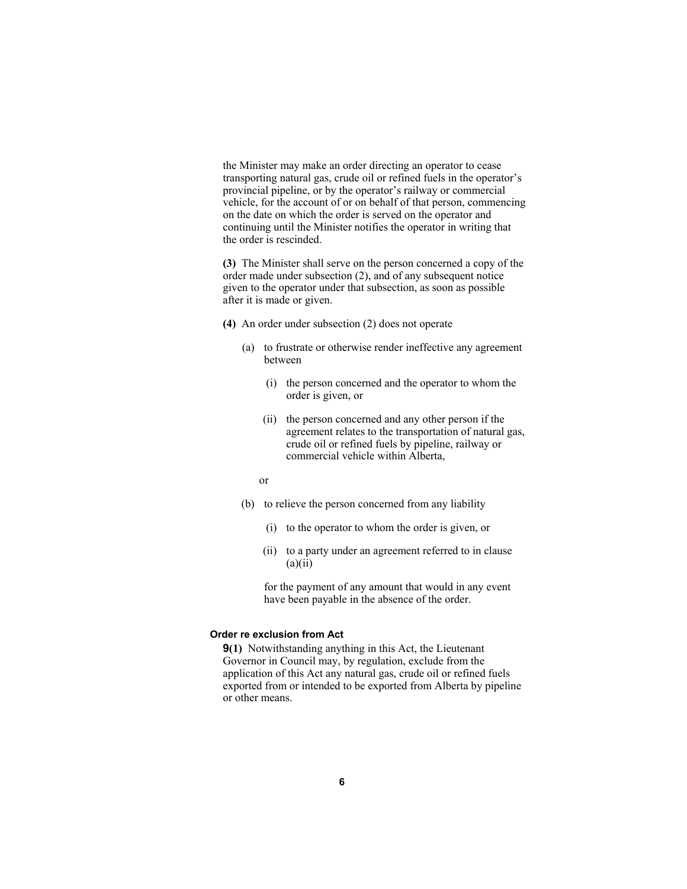the Minister may make an order directing an operator to cease transporting natural gas, crude oil or refined fuels in the operator's provincial pipeline, or by the operator's railway or commercial vehicle, for the account of or on behalf of that person, commencing on the date on which the order is served on the operator and continuing until the Minister notifies the operator in writing that the order is rescinded.

**(3)** The Minister shall serve on the person concerned a copy of the order made under subsection (2), and of any subsequent notice given to the operator under that subsection, as soon as possible after it is made or given.

- **(4)** An order under subsection (2) does not operate
	- (a) to frustrate or otherwise render ineffective any agreement between
		- (i) the person concerned and the operator to whom the order is given, or
		- (ii) the person concerned and any other person if the agreement relates to the transportation of natural gas, crude oil or refined fuels by pipeline, railway or commercial vehicle within Alberta,
- or
	- (b) to relieve the person concerned from any liability
		- (i) to the operator to whom the order is given, or
		- (ii) to a party under an agreement referred to in clause  $(a)(ii)$

 for the payment of any amount that would in any event have been payable in the absence of the order.

#### **Order re exclusion from Act**

**9(1)** Notwithstanding anything in this Act, the Lieutenant Governor in Council may, by regulation, exclude from the application of this Act any natural gas, crude oil or refined fuels exported from or intended to be exported from Alberta by pipeline or other means.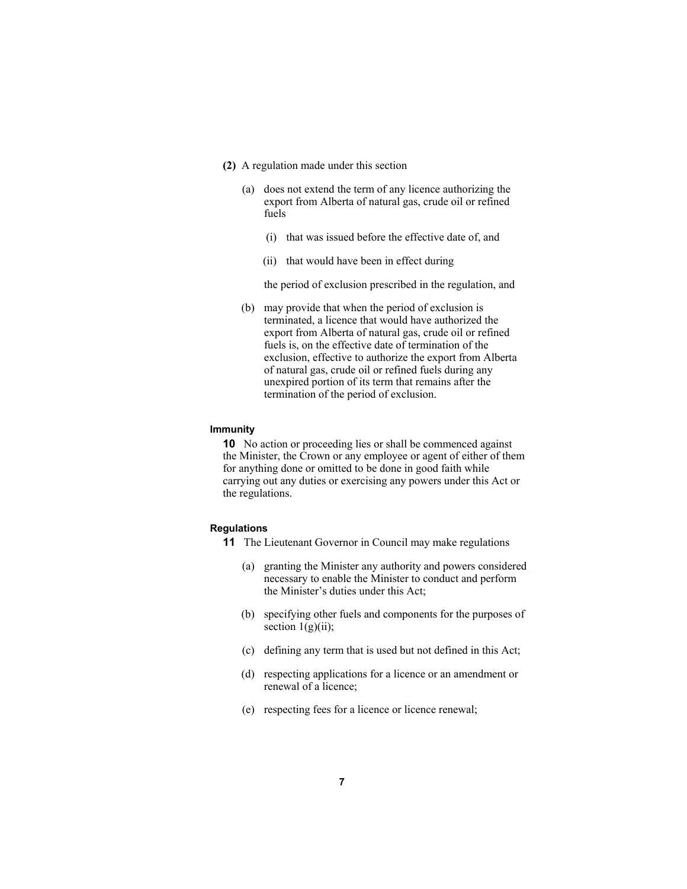- **(2)** A regulation made under this section
	- (a) does not extend the term of any licence authorizing the export from Alberta of natural gas, crude oil or refined fuels
		- (i) that was issued before the effective date of, and
		- (ii) that would have been in effect during

the period of exclusion prescribed in the regulation, and

 (b) may provide that when the period of exclusion is terminated, a licence that would have authorized the export from Alberta of natural gas, crude oil or refined fuels is, on the effective date of termination of the exclusion, effective to authorize the export from Alberta of natural gas, crude oil or refined fuels during any unexpired portion of its term that remains after the termination of the period of exclusion.

#### **Immunity**

**10** No action or proceeding lies or shall be commenced against the Minister, the Crown or any employee or agent of either of them for anything done or omitted to be done in good faith while carrying out any duties or exercising any powers under this Act or the regulations.

#### **Regulations**

- **11** The Lieutenant Governor in Council may make regulations
	- (a) granting the Minister any authority and powers considered necessary to enable the Minister to conduct and perform the Minister's duties under this Act;
	- (b) specifying other fuels and components for the purposes of section  $1(g)(ii)$ ;
	- (c) defining any term that is used but not defined in this Act;
	- (d) respecting applications for a licence or an amendment or renewal of a licence;
	- (e) respecting fees for a licence or licence renewal;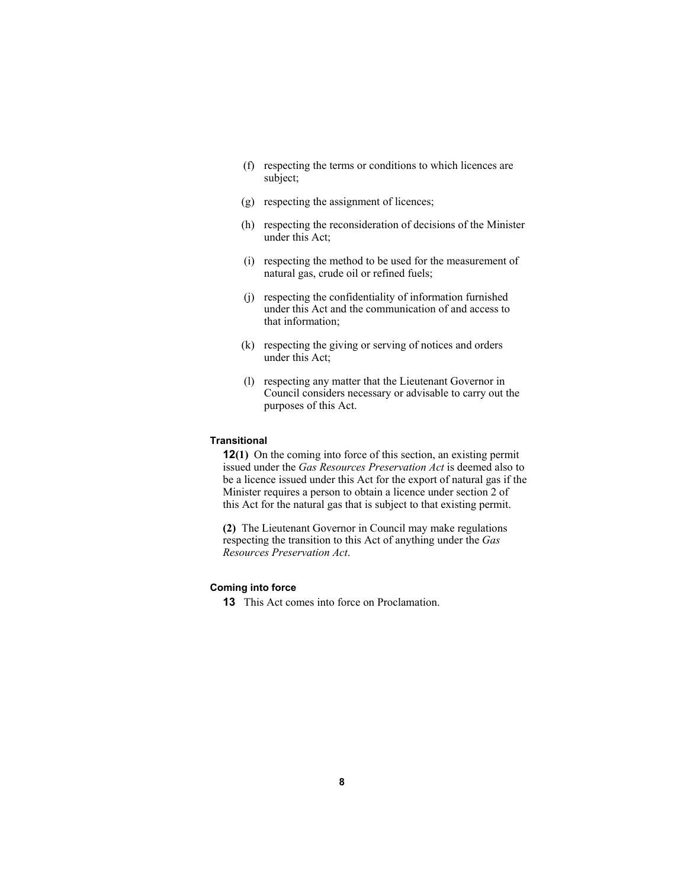- (f) respecting the terms or conditions to which licences are subject;
- (g) respecting the assignment of licences;
- (h) respecting the reconsideration of decisions of the Minister under this Act;
- (i) respecting the method to be used for the measurement of natural gas, crude oil or refined fuels;
- (j) respecting the confidentiality of information furnished under this Act and the communication of and access to that information;
- (k) respecting the giving or serving of notices and orders under this Act;
- (l) respecting any matter that the Lieutenant Governor in Council considers necessary or advisable to carry out the purposes of this Act.

#### **Transitional**

**12(1)** On the coming into force of this section, an existing permit issued under the *Gas Resources Preservation Act* is deemed also to be a licence issued under this Act for the export of natural gas if the Minister requires a person to obtain a licence under section 2 of this Act for the natural gas that is subject to that existing permit.

**(2)** The Lieutenant Governor in Council may make regulations respecting the transition to this Act of anything under the *Gas Resources Preservation Act*.

### **Coming into force**

**13** This Act comes into force on Proclamation.